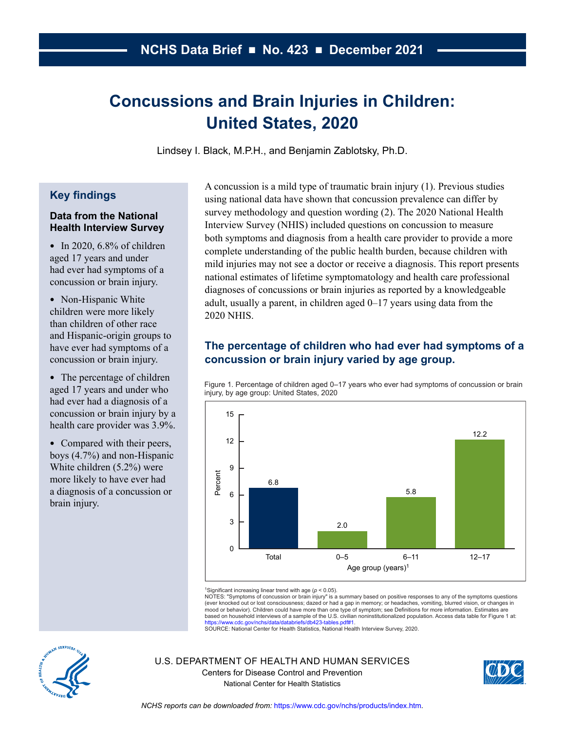# **Concussions and Brain Injuries in Children: United States, 2020**

Lindsey I. Black, M.P.H., and Benjamin Zablotsky, Ph.D.

## **Key findings**

#### **Data from the National Health Interview Survey**

- In 2020,  $6.8\%$  of children aged 17 years and under had ever had symptoms of a concussion or brain injury.
- Non-Hispanic White children were more likely than children of other race and Hispanic-origin groups to have ever had symptoms of a concussion or brain injury.
- The percentage of children aged 17 years and under who had ever had a diagnosis of a concussion or brain injury by a health care provider was 3.9%.
- Compared with their peers, boys (4.7%) and non-Hispanic White children (5.2%) were more likely to have ever had a diagnosis of a concussion or brain injury.

A concussion is a mild type of traumatic brain injury (1). Previous studies using national data have shown that concussion prevalence can differ by survey methodology and question wording (2). The 2020 National Health Interview Survey (NHIS) included questions on concussion to measure both symptoms and diagnosis from a health care provider to provide a more complete understanding of the public health burden, because children with mild injuries may not see a doctor or receive a diagnosis. This report presents national estimates of lifetime symptomatology and health care professional diagnoses of concussions or brain injuries as reported by a knowledgeable adult, usually a parent, in children aged 0–17 years using data from the 2020 NHIS.

# **The percentage of children who had ever had symptoms of a concussion or brain injury varied by age group.**

Figure 1. Percentage of children aged 0–17 years who ever had symptoms of concussion or brain injury, by age group: United States, 2020



<sup>1</sup>Significant increasing linear trend with age (*p* < 0.05).

NOTES: "Symptoms of concussion or brain injury" is a summary based on positive responses to any of the symptoms questions (ever knocked out or lost consciousness; dazed or had a gap in memory; or headaches, vomiting, blurred vision, or changes in mood or behavior). Children could have more than one type of symptom; see Definitions for more information. Estimates are based on household interviews of a sample of the U.S. civilian noninstitutionalized population. Access data table for Figure 1 at:

[https://www.cdc.gov/nchs/data/databriefs/db423-tables.pdf#1.](https://www.cdc.gov/nchs/data/databriefs/db423-tables.pdf#1)<br>SOURCE: National Center for Health Statistics, National Health Interview Survey, 2020.



U.S. DEPARTMENT OF HEALTH AND HUMAN SERVICES Centers for Disease Control and Prevention National Center for Health Statistics

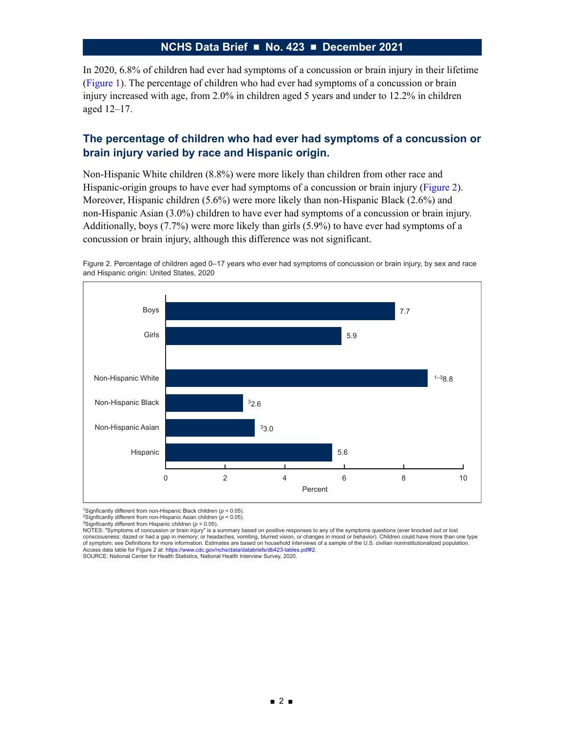In 2020, 6.8% of children had ever had symptoms of a concussion or brain injury in their lifetime (Figure 1). The percentage of children who had ever had symptoms of a concussion or brain injury increased with age, from 2.0% in children aged 5 years and under to 12.2% in children aged 12–17.

## **The percentage of children who had ever had symptoms of a concussion or brain injury varied by race and Hispanic origin.**

Non-Hispanic White children (8.8%) were more likely than children from other race and Hispanic-origin groups to have ever had symptoms of a concussion or brain injury (Figure 2). Moreover, Hispanic children (5.6%) were more likely than non-Hispanic Black (2.6%) and non-Hispanic Asian (3.0%) children to have ever had symptoms of a concussion or brain injury. Additionally, boys (7.7%) were more likely than girls (5.9%) to have ever had symptoms of a concussion or brain injury, although this difference was not significant.



Figure 2. Percentage of children aged 0–17 years who ever had symptoms of concussion or brain injury, by sex and race and Hispanic origin: United States, 2020

1Signficantly different from non-Hispanic Black children (*p* < 0.05).

2Signficantly different from non-Hispanic Asian children (*p* < 0.05).

3Signficantly different from Hispanic children (*p* < 0.05).

NOTES: "Symptoms of concussion or brain injury" is a summary based on positive responses to any of the symptoms questions (ever knocked out or lost consciousness; dazed or had a gap in memory; or headaches, vomiting, blurred vision, or changes in mood or behavior). Children could have more than one type of symptom; see Definitions for more information. Estimates are based on household interviews of a sample of the U.S. civilian noninstitutionalized population. Access data table for Figure 2 at:<https://www.cdc.gov/nchs/data/databriefs/db423-tables.pdf#2>.<br>SOURCE: National Center for Health Statistics, National Health Interview Survey, 2020.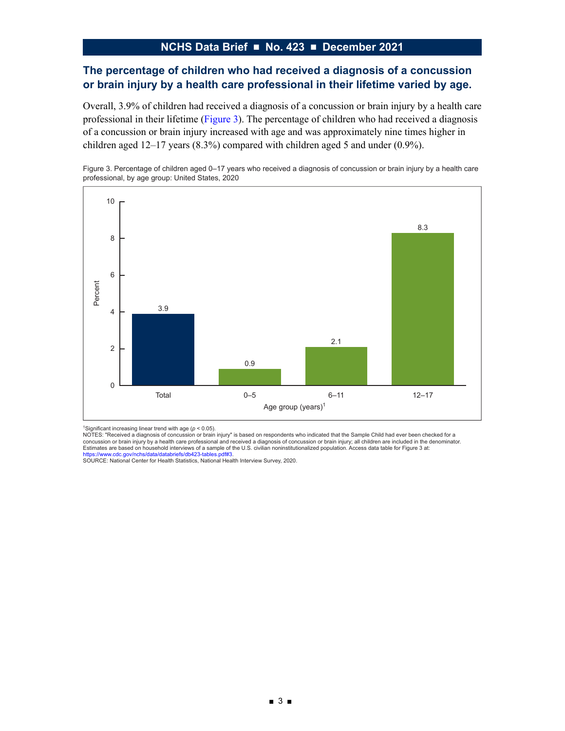## **The percentage of children who had received a diagnosis of a concussion or brain injury by a health care professional in their lifetime varied by age.**

Overall, 3.9% of children had received a diagnosis of a concussion or brain injury by a health care professional in their lifetime (Figure 3). The percentage of children who had received a diagnosis of a concussion or brain injury increased with age and was approximately nine times higher in children aged 12–17 years (8.3%) compared with children aged 5 and under (0.9%).

Figure 3. Percentage of children aged 0–17 years who received a diagnosis of concussion or brain injury by a health care professional, by age group: United States, 2020



<sup>1</sup>Significant increasing linear trend with age (*p* < 0.05).

NOTES: "Received a diagnosis of concussion or brain injury" is based on respondents who indicated that the Sample Child had ever been checked for a concussion or brain injury by a health care professional and received a diagnosis of concussion or brain injury; all children are included in the denominator. Estimates are based on household interviews of a sample of the U.S. civilian noninstitutionalized population. Access data table for Figure 3 at:<br>[https://www.cdc.gov/nchs/data/databriefs/db423-tables.pdf#3.](https://www.cdc.gov/nchs/data/databriefs/db423-tables.pdf#3)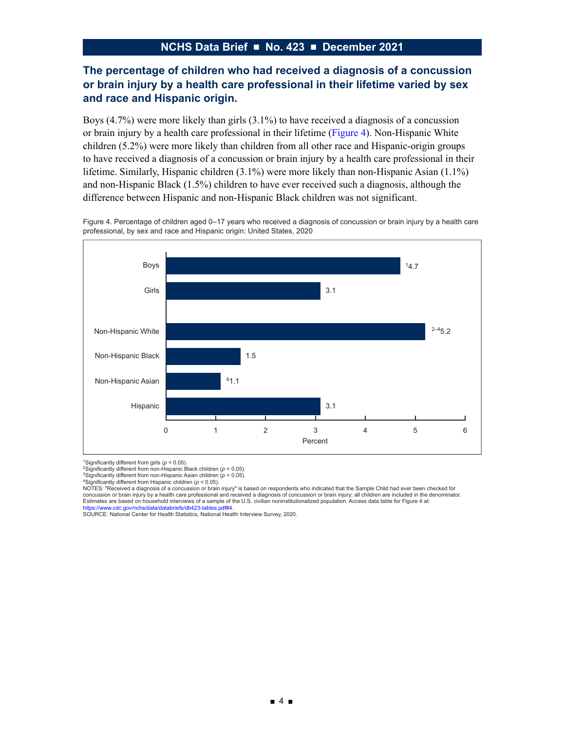# **The percentage of children who had received a diagnosis of a concussion or brain injury by a health care professional in their lifetime varied by sex and race and Hispanic origin.**

Boys (4.7%) were more likely than girls (3.1%) to have received a diagnosis of a concussion or brain injury by a health care professional in their lifetime (Figure 4). Non-Hispanic White children (5.2%) were more likely than children from all other race and Hispanic-origin groups to have received a diagnosis of a concussion or brain injury by a health care professional in their lifetime. Similarly, Hispanic children (3.1%) were more likely than non-Hispanic Asian (1.1%) and non-Hispanic Black (1.5%) children to have ever received such a diagnosis, although the difference between Hispanic and non-Hispanic Black children was not significant.

Figure 4. Percentage of children aged 0–17 years who received a diagnosis of concussion or brain injury by a health care professional, by sex and race and Hispanic origin: United States, 2020



<sup>1</sup>Significantly different from girls (*p* < 0.05).

NOTES: "Received a diagnosis of a concussion or brain injury" is based on respondents who indicated that the Sample Child had ever been checked for concussion or brain injury by a health care professional and received a diagnosis of concussion or brain injury; all children are included in the denominator. Estimates are based on household interviews of a sample of the U.S. civilian noninstitutionalized population. Access data table for Figure 4 at:

[https://www.cdc.gov/nchs/data/databriefs/db423-tables.pdf#4.](https://www.cdc.gov/nchs/data/databriefs/db423-tables.pdf#4)<br>SOURCE: National Center for Health Statistics, National Health Interview Survey, 2020.

<sup>2</sup>Significantly different from non-Hispanic Black children (*p* < 0.05). 3Significantly different from non-Hispanic Asian children (*p* < 0.05).

<sup>4</sup>Significantly different from Hispanic children (*p* < 0.05).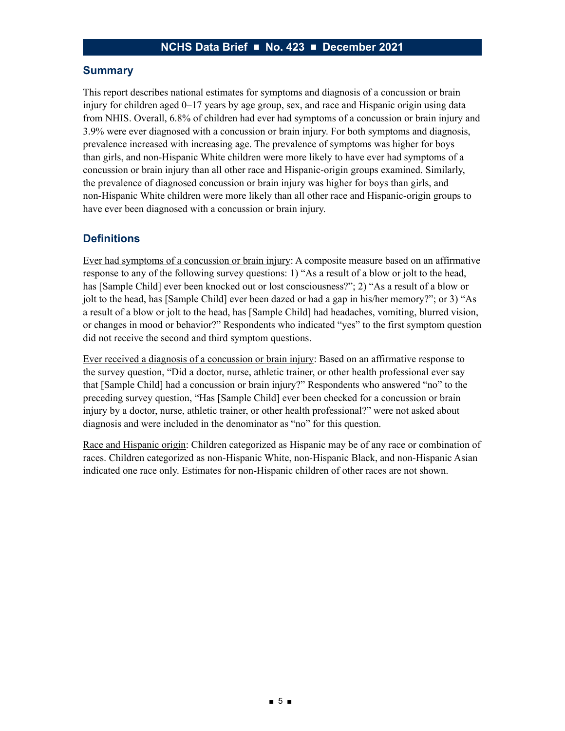#### **Summary**

This report describes national estimates for symptoms and diagnosis of a concussion or brain injury for children aged 0–17 years by age group, sex, and race and Hispanic origin using data from NHIS. Overall, 6.8% of children had ever had symptoms of a concussion or brain injury and 3.9% were ever diagnosed with a concussion or brain injury. For both symptoms and diagnosis, prevalence increased with increasing age. The prevalence of symptoms was higher for boys than girls, and non-Hispanic White children were more likely to have ever had symptoms of a concussion or brain injury than all other race and Hispanic-origin groups examined. Similarly, the prevalence of diagnosed concussion or brain injury was higher for boys than girls, and non-Hispanic White children were more likely than all other race and Hispanic-origin groups to have ever been diagnosed with a concussion or brain injury.

## **Definitions**

Ever had symptoms of a concussion or brain injury: A composite measure based on an affirmative response to any of the following survey questions: 1) "As a result of a blow or jolt to the head, has [Sample Child] ever been knocked out or lost consciousness?"; 2) "As a result of a blow or jolt to the head, has [Sample Child] ever been dazed or had a gap in his/her memory?"; or 3) "As a result of a blow or jolt to the head, has [Sample Child] had headaches, vomiting, blurred vision, or changes in mood or behavior?" Respondents who indicated "yes" to the first symptom question did not receive the second and third symptom questions.

Ever received a diagnosis of a concussion or brain injury: Based on an affirmative response to the survey question, "Did a doctor, nurse, athletic trainer, or other health professional ever say that [Sample Child] had a concussion or brain injury?" Respondents who answered "no" to the preceding survey question, "Has [Sample Child] ever been checked for a concussion or brain injury by a doctor, nurse, athletic trainer, or other health professional?" were not asked about diagnosis and were included in the denominator as "no" for this question.

Race and Hispanic origin: Children categorized as Hispanic may be of any race or combination of races. Children categorized as non-Hispanic White, non-Hispanic Black, and non-Hispanic Asian indicated one race only. Estimates for non-Hispanic children of other races are not shown.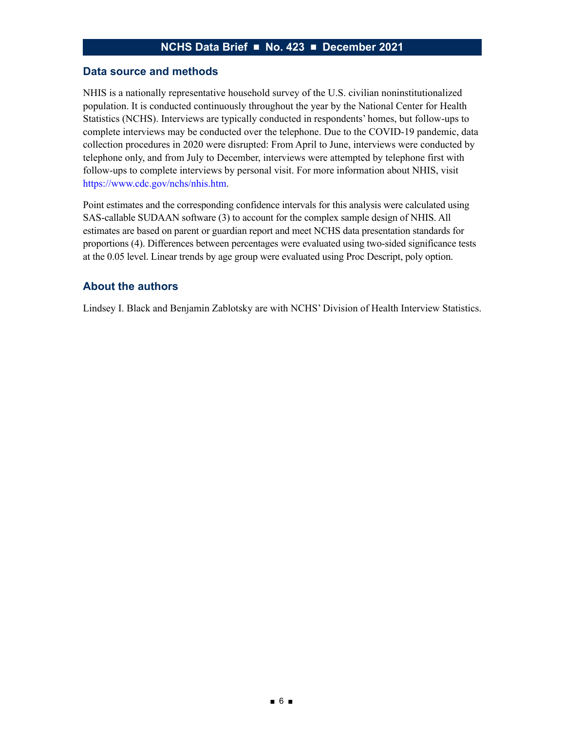#### **Data source and methods**

NHIS is a nationally representative household survey of the U.S. civilian noninstitutionalized population. It is conducted continuously throughout the year by the National Center for Health Statistics (NCHS). Interviews are typically conducted in respondents' homes, but follow-ups to complete interviews may be conducted over the telephone. Due to the COVID-19 pandemic, data collection procedures in 2020 were disrupted: From April to June, interviews were conducted by telephone only, and from July to December, interviews were attempted by telephone first with follow-ups to complete interviews by personal visit. For more information about NHIS, visit <https://www.cdc.gov/nchs/nhis.htm>.

Point estimates and the corresponding confidence intervals for this analysis were calculated using SAS-callable SUDAAN software (3) to account for the complex sample design of NHIS. All estimates are based on parent or guardian report and meet NCHS data presentation standards for proportions (4). Differences between percentages were evaluated using two-sided significance tests at the 0.05 level. Linear trends by age group were evaluated using Proc Descript, poly option.

#### **About the authors**

Lindsey I. Black and Benjamin Zablotsky are with NCHS' Division of Health Interview Statistics.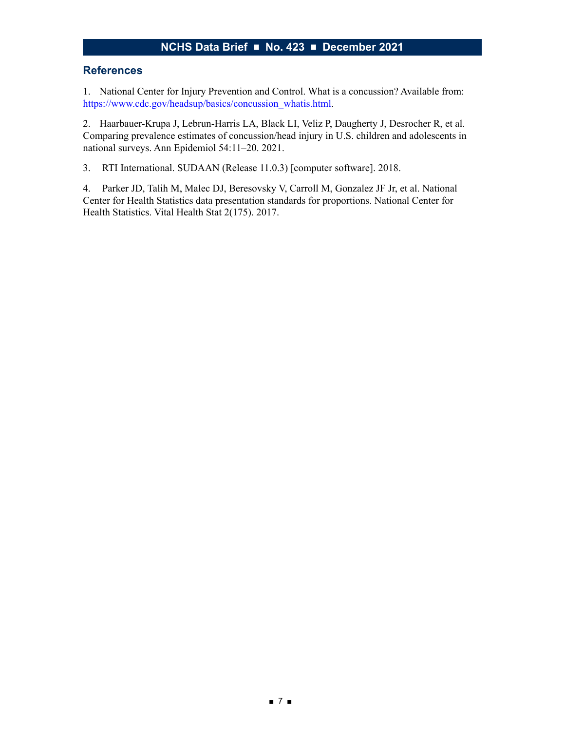#### **References**

1. National Center for Injury Prevention and Control. What is a concussion? Available from: [https://www.cdc.gov/headsup/basics/concussion\\_whatis.html](https://www.cdc.gov/headsup/basics/concussion_whatis.html).

2. Haarbauer-Krupa J, Lebrun-Harris LA, Black LI, Veliz P, Daugherty J, Desrocher R, et al. Comparing prevalence estimates of concussion/head injury in U.S. children and adolescents in national surveys. Ann Epidemiol 54:11–20. 2021.

3. RTI International. SUDAAN (Release 11.0.3) [computer software]. 2018.

4. Parker JD, Talih M, Malec DJ, Beresovsky V, Carroll M, Gonzalez JF Jr, et al. National Center for Health Statistics data presentation standards for proportions. National Center for Health Statistics. Vital Health Stat 2(175). 2017.